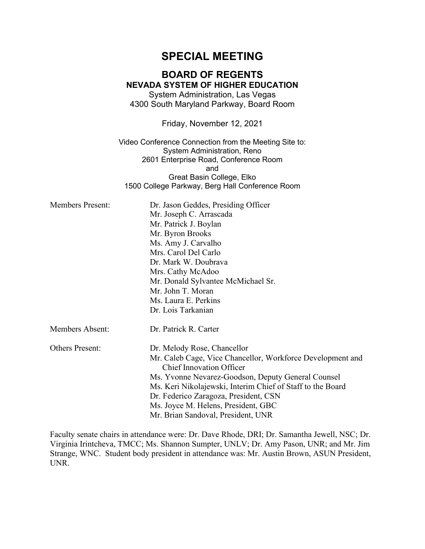# **SPECIAL MEETING**

## **BOARD OF REGENTS NEVADA SYSTEM OF HIGHER EDUCATION**

System Administration, Las Vegas 4300 South Maryland Parkway, Board Room

Friday, November 12, 2021

Video Conference Connection from the Meeting Site to: System Administration, Reno 2601 Enterprise Road, Conference Room and Great Basin College, Elko 1500 College Parkway, Berg Hall Conference Room

| <b>Members Present:</b> | Dr. Jason Geddes, Presiding Officer<br>Mr. Joseph C. Arrascada<br>Mr. Patrick J. Boylan<br>Mr. Byron Brooks<br>Ms. Amy J. Carvalho<br>Mrs. Carol Del Carlo<br>Dr. Mark W. Doubrava<br>Mrs. Cathy McAdoo<br>Mr. Donald Sylvantee McMichael Sr.<br>Mr. John T. Moran<br>Ms. Laura E. Perkins<br>Dr. Lois Tarkanian                                                       |
|-------------------------|------------------------------------------------------------------------------------------------------------------------------------------------------------------------------------------------------------------------------------------------------------------------------------------------------------------------------------------------------------------------|
| <b>Members Absent:</b>  | Dr. Patrick R. Carter                                                                                                                                                                                                                                                                                                                                                  |
| <b>Others Present:</b>  | Dr. Melody Rose, Chancellor<br>Mr. Caleb Cage, Vice Chancellor, Workforce Development and<br><b>Chief Innovation Officer</b><br>Ms. Yvonne Nevarez-Goodson, Deputy General Counsel<br>Ms. Keri Nikolajewski, Interim Chief of Staff to the Board<br>Dr. Federico Zaragoza, President, CSN<br>Ms. Joyce M. Helens, President, GBC<br>Mr. Brian Sandoval, President, UNR |

Faculty senate chairs in attendance were: Dr. Dave Rhode, DRI; Dr. Samantha Jewell, NSC; Dr. Virginia Irintcheva, TMCC; Ms. Shannon Sumpter, UNLV; Dr. Amy Pason, UNR; and Mr. Jim Strange, WNC. Student body president in attendance was: Mr. Austin Brown, ASUN President, UNR.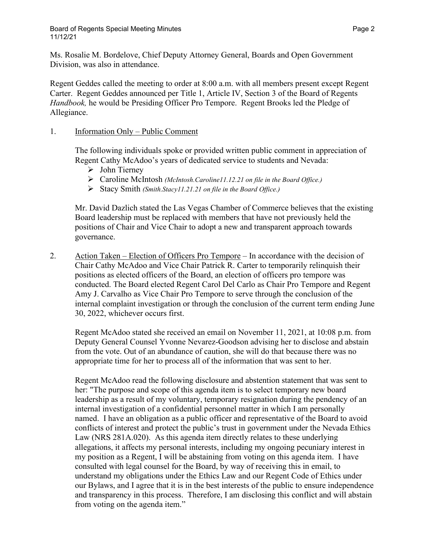Ms. Rosalie M. Bordelove, Chief Deputy Attorney General, Boards and Open Government Division, was also in attendance.

Regent Geddes called the meeting to order at 8:00 a.m. with all members present except Regent Carter. Regent Geddes announced per Title 1, Article IV, Section 3 of the Board of Regents *Handbook,* he would be Presiding Officer Pro Tempore. Regent Brooks led the Pledge of Allegiance.

### 1. Information Only – Public Comment

The following individuals spoke or provided written public comment in appreciation of Regent Cathy McAdoo's years of dedicated service to students and Nevada:

- $\triangleright$  John Tierney
- Caroline McIntosh *(McIntosh.Caroline11.12.21 on file in the Board Office.)*
- Stacy Smith *(Smith.Stacy11.21.21 on file in the Board Office.)*

Mr. David Dazlich stated the Las Vegas Chamber of Commerce believes that the existing Board leadership must be replaced with members that have not previously held the positions of Chair and Vice Chair to adopt a new and transparent approach towards governance.

2. Action Taken – Election of Officers Pro Tempore – In accordance with the decision of Chair Cathy McAdoo and Vice Chair Patrick R. Carter to temporarily relinquish their positions as elected officers of the Board, an election of officers pro tempore was conducted. The Board elected Regent Carol Del Carlo as Chair Pro Tempore and Regent Amy J. Carvalho as Vice Chair Pro Tempore to serve through the conclusion of the internal complaint investigation or through the conclusion of the current term ending June 30, 2022, whichever occurs first.

Regent McAdoo stated she received an email on November 11, 2021, at 10:08 p.m. from Deputy General Counsel Yvonne Nevarez-Goodson advising her to disclose and abstain from the vote. Out of an abundance of caution, she will do that because there was no appropriate time for her to process all of the information that was sent to her.

Regent McAdoo read the following disclosure and abstention statement that was sent to her: "The purpose and scope of this agenda item is to select temporary new board leadership as a result of my voluntary, temporary resignation during the pendency of an internal investigation of a confidential personnel matter in which I am personally named. I have an obligation as a public officer and representative of the Board to avoid conflicts of interest and protect the public's trust in government under the Nevada Ethics Law (NRS 281A.020). As this agenda item directly relates to these underlying allegations, it affects my personal interests, including my ongoing pecuniary interest in my position as a Regent, I will be abstaining from voting on this agenda item. I have consulted with legal counsel for the Board, by way of receiving this in email, to understand my obligations under the Ethics Law and our Regent Code of Ethics under our Bylaws, and I agree that it is in the best interests of the public to ensure independence and transparency in this process. Therefore, I am disclosing this conflict and will abstain from voting on the agenda item."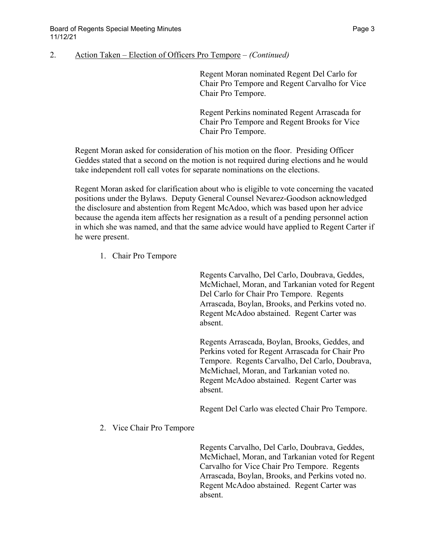#### 2. Action Taken – Election of Officers Pro Tempore – *(Continued)*

Regent Moran nominated Regent Del Carlo for Chair Pro Tempore and Regent Carvalho for Vice Chair Pro Tempore.

Regent Perkins nominated Regent Arrascada for Chair Pro Tempore and Regent Brooks for Vice Chair Pro Tempore.

Regent Moran asked for consideration of his motion on the floor. Presiding Officer Geddes stated that a second on the motion is not required during elections and he would take independent roll call votes for separate nominations on the elections.

Regent Moran asked for clarification about who is eligible to vote concerning the vacated positions under the Bylaws. Deputy General Counsel Nevarez-Goodson acknowledged the disclosure and abstention from Regent McAdoo, which was based upon her advice because the agenda item affects her resignation as a result of a pending personnel action in which she was named, and that the same advice would have applied to Regent Carter if he were present.

1. Chair Pro Tempore

Regents Carvalho, Del Carlo, Doubrava, Geddes, McMichael, Moran, and Tarkanian voted for Regent Del Carlo for Chair Pro Tempore. Regents Arrascada, Boylan, Brooks, and Perkins voted no. Regent McAdoo abstained. Regent Carter was absent.

Regents Arrascada, Boylan, Brooks, Geddes, and Perkins voted for Regent Arrascada for Chair Pro Tempore. Regents Carvalho, Del Carlo, Doubrava, McMichael, Moran, and Tarkanian voted no. Regent McAdoo abstained. Regent Carter was absent.

Regent Del Carlo was elected Chair Pro Tempore.

2. Vice Chair Pro Tempore

Regents Carvalho, Del Carlo, Doubrava, Geddes, McMichael, Moran, and Tarkanian voted for Regent Carvalho for Vice Chair Pro Tempore. Regents Arrascada, Boylan, Brooks, and Perkins voted no. Regent McAdoo abstained. Regent Carter was absent.